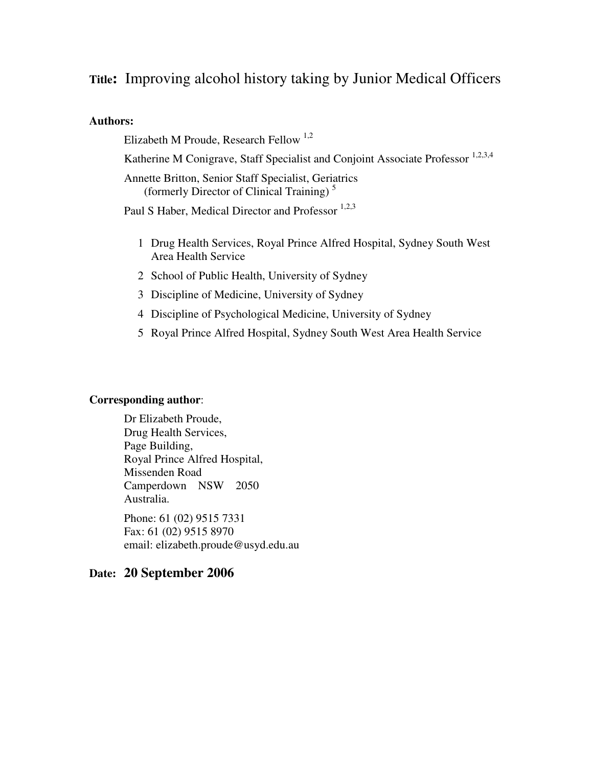# **Title:** Improving alcohol history taking by Junior Medical Officers

#### **Authors:**

Elizabeth M Proude, Research Fellow <sup>1,2</sup>

Katherine M Conigrave, Staff Specialist and Conjoint Associate Professor <sup>1,2,3,4</sup>

Annette Britton, Senior Staff Specialist, Geriatrics (formerly Director of Clinical Training) <sup>5</sup>

Paul S Haber, Medical Director and Professor<sup>1,2,3</sup>

- 1 Drug Health Services, Royal Prince Alfred Hospital, Sydney South West Area Health Service
- 2 School of Public Health, University of Sydney
- 3 Discipline of Medicine, University of Sydney
- 4 Discipline of Psychological Medicine, University of Sydney
- 5 Royal Prince Alfred Hospital, Sydney South West Area Health Service

#### **Corresponding author**:

Dr Elizabeth Proude, Drug Health Services, Page Building, Royal Prince Alfred Hospital, Missenden Road Camperdown NSW 2050 Australia. Phone: 61 (02) 9515 7331

Fax: 61 (02) 9515 8970 email: elizabeth.proude@usyd.edu.au

#### **Date: 20 September 2006**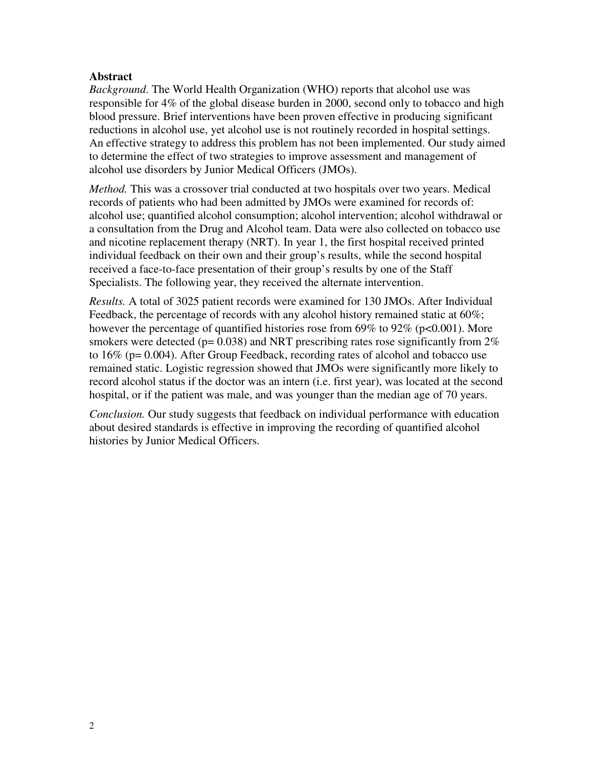#### **Abstract**

*Background*. The World Health Organization (WHO) reports that alcohol use was responsible for 4% of the global disease burden in 2000, second only to tobacco and high blood pressure. Brief interventions have been proven effective in producing significant reductions in alcohol use, yet alcohol use is not routinely recorded in hospital settings. An effective strategy to address this problem has not been implemented. Our study aimed to determine the effect of two strategies to improve assessment and management of alcohol use disorders by Junior Medical Officers (JMOs).

*Method.* This was a crossover trial conducted at two hospitals over two years. Medical records of patients who had been admitted by JMOs were examined for records of: alcohol use; quantified alcohol consumption; alcohol intervention; alcohol withdrawal or a consultation from the Drug and Alcohol team. Data were also collected on tobacco use and nicotine replacement therapy (NRT). In year 1, the first hospital received printed individual feedback on their own and their group's results, while the second hospital received a face-to-face presentation of their group's results by one of the Staff Specialists. The following year, they received the alternate intervention.

*Results.* A total of 3025 patient records were examined for 130 JMOs. After Individual Feedback, the percentage of records with any alcohol history remained static at 60%; however the percentage of quantified histories rose from 69% to 92% ( $p<0.001$ ). More smokers were detected ( $p= 0.038$ ) and NRT prescribing rates rose significantly from  $2\%$ to 16% (p= 0.004). After Group Feedback, recording rates of alcohol and tobacco use remained static. Logistic regression showed that JMOs were significantly more likely to record alcohol status if the doctor was an intern (i.e. first year), was located at the second hospital, or if the patient was male, and was younger than the median age of 70 years.

*Conclusion.* Our study suggests that feedback on individual performance with education about desired standards is effective in improving the recording of quantified alcohol histories by Junior Medical Officers.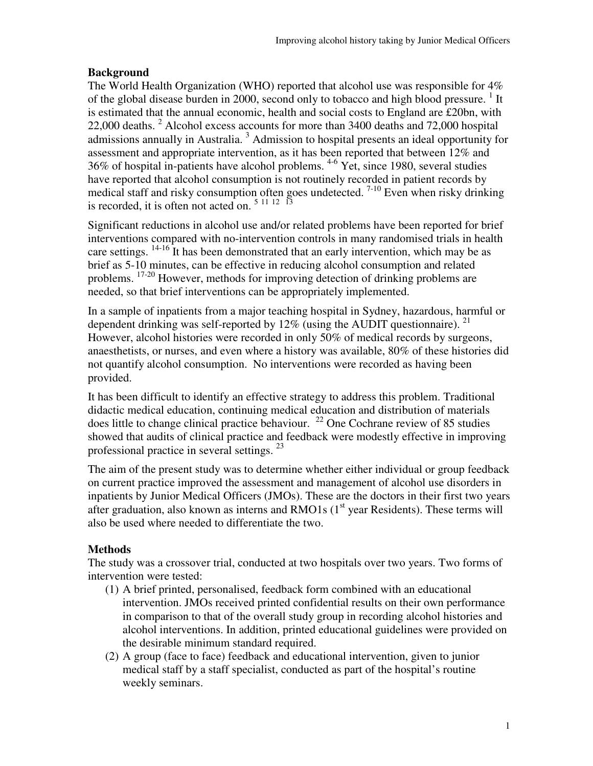## **Background**

The World Health Organization (WHO) reported that alcohol use was responsible for 4% of the global disease burden in 2000, second only to tobacco and high blood pressure.<sup>1</sup> It is estimated that the annual economic, health and social costs to England are £20bn, with 22,000 deaths.<sup>2</sup> Alcohol excess accounts for more than 3400 deaths and 72,000 hospital admissions annually in Australia.<sup>3</sup> Admission to hospital presents an ideal opportunity for assessment and appropriate intervention, as it has been reported that between 12% and 36% of hospital in-patients have alcohol problems. 4-6 Yet, since 1980, several studies have reported that alcohol consumption is not routinely recorded in patient records by medical staff and risky consumption often goes undetected.<sup>7-10</sup> Even when risky drinking is recorded, it is often not acted on.  $5 \frac{11}{12}$   $\overline{13}$ 

Significant reductions in alcohol use and/or related problems have been reported for brief interventions compared with no-intervention controls in many randomised trials in health care settings.  $14-16$  It has been demonstrated that an early intervention, which may be as brief as 5-10 minutes, can be effective in reducing alcohol consumption and related problems. 17-20 However, methods for improving detection of drinking problems are needed, so that brief interventions can be appropriately implemented.

In a sample of inpatients from a major teaching hospital in Sydney, hazardous, harmful or dependent drinking was self-reported by  $12\%$  (using the AUDIT questionnaire). <sup>21</sup> However, alcohol histories were recorded in only 50% of medical records by surgeons, anaesthetists, or nurses, and even where a history was available, 80% of these histories did not quantify alcohol consumption. No interventions were recorded as having been provided.

It has been difficult to identify an effective strategy to address this problem. Traditional didactic medical education, continuing medical education and distribution of materials does little to change clinical practice behaviour.  $^{22}$  One Cochrane review of 85 studies showed that audits of clinical practice and feedback were modestly effective in improving professional practice in several settings.<sup>23</sup>

The aim of the present study was to determine whether either individual or group feedback on current practice improved the assessment and management of alcohol use disorders in inpatients by Junior Medical Officers (JMOs). These are the doctors in their first two years after graduation, also known as interns and RMO1s  $(1<sup>st</sup>$  year Residents). These terms will also be used where needed to differentiate the two.

## **Methods**

The study was a crossover trial, conducted at two hospitals over two years. Two forms of intervention were tested:

- (1) A brief printed, personalised, feedback form combined with an educational intervention. JMOs received printed confidential results on their own performance in comparison to that of the overall study group in recording alcohol histories and alcohol interventions. In addition, printed educational guidelines were provided on the desirable minimum standard required.
- (2) A group (face to face) feedback and educational intervention, given to junior medical staff by a staff specialist, conducted as part of the hospital's routine weekly seminars.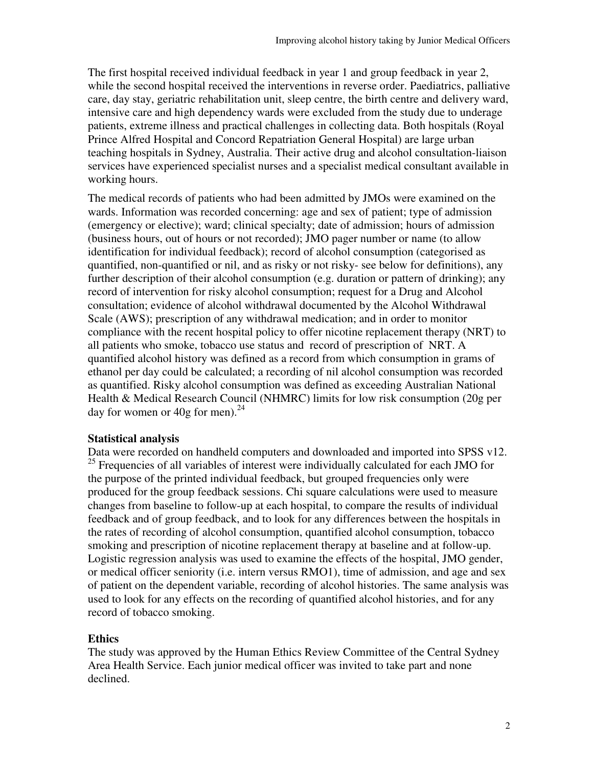The first hospital received individual feedback in year 1 and group feedback in year 2, while the second hospital received the interventions in reverse order. Paediatrics, palliative care, day stay, geriatric rehabilitation unit, sleep centre, the birth centre and delivery ward, intensive care and high dependency wards were excluded from the study due to underage patients, extreme illness and practical challenges in collecting data. Both hospitals (Royal Prince Alfred Hospital and Concord Repatriation General Hospital) are large urban teaching hospitals in Sydney, Australia. Their active drug and alcohol consultation-liaison services have experienced specialist nurses and a specialist medical consultant available in working hours.

The medical records of patients who had been admitted by JMOs were examined on the wards. Information was recorded concerning: age and sex of patient; type of admission (emergency or elective); ward; clinical specialty; date of admission; hours of admission (business hours, out of hours or not recorded); JMO pager number or name (to allow identification for individual feedback); record of alcohol consumption (categorised as quantified, non-quantified or nil, and as risky or not risky- see below for definitions), any further description of their alcohol consumption (e.g. duration or pattern of drinking); any record of intervention for risky alcohol consumption; request for a Drug and Alcohol consultation; evidence of alcohol withdrawal documented by the Alcohol Withdrawal Scale (AWS); prescription of any withdrawal medication; and in order to monitor compliance with the recent hospital policy to offer nicotine replacement therapy (NRT) to all patients who smoke, tobacco use status and record of prescription of NRT. A quantified alcohol history was defined as a record from which consumption in grams of ethanol per day could be calculated; a recording of nil alcohol consumption was recorded as quantified. Risky alcohol consumption was defined as exceeding Australian National Health & Medical Research Council (NHMRC) limits for low risk consumption (20g per day for women or 40g for men). $^{24}$ 

#### **Statistical analysis**

Data were recorded on handheld computers and downloaded and imported into SPSS v12. <sup>25</sup> Frequencies of all variables of interest were individually calculated for each JMO for the purpose of the printed individual feedback, but grouped frequencies only were produced for the group feedback sessions. Chi square calculations were used to measure changes from baseline to follow-up at each hospital, to compare the results of individual feedback and of group feedback, and to look for any differences between the hospitals in the rates of recording of alcohol consumption, quantified alcohol consumption, tobacco smoking and prescription of nicotine replacement therapy at baseline and at follow-up. Logistic regression analysis was used to examine the effects of the hospital, JMO gender, or medical officer seniority (i.e. intern versus RMO1), time of admission, and age and sex of patient on the dependent variable, recording of alcohol histories. The same analysis was used to look for any effects on the recording of quantified alcohol histories, and for any record of tobacco smoking.

### **Ethics**

The study was approved by the Human Ethics Review Committee of the Central Sydney Area Health Service. Each junior medical officer was invited to take part and none declined.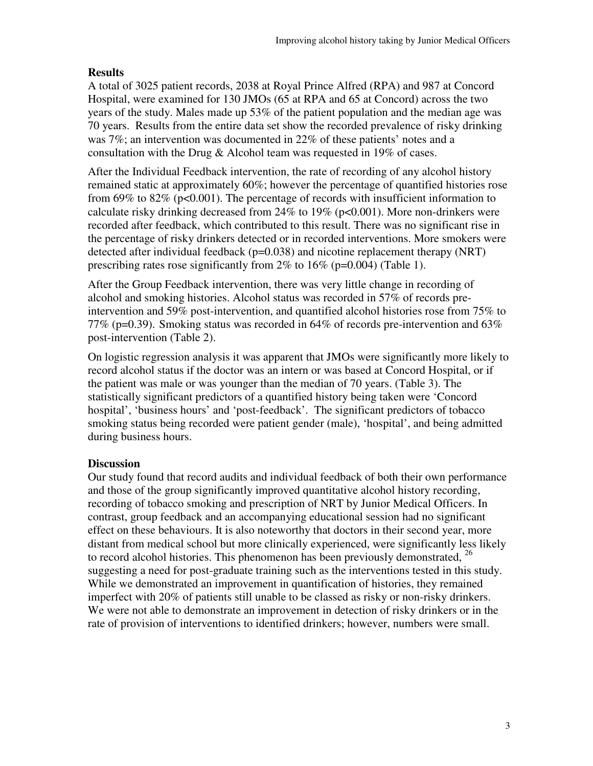## **Results**

A total of 3025 patient records, 2038 at Royal Prince Alfred (RPA) and 987 at Concord Hospital, were examined for 130 JMOs (65 at RPA and 65 at Concord) across the two years of the study. Males made up 53% of the patient population and the median age was 70 years. Results from the entire data set show the recorded prevalence of risky drinking was 7%; an intervention was documented in 22% of these patients' notes and a consultation with the Drug & Alcohol team was requested in 19% of cases.

After the Individual Feedback intervention, the rate of recording of any alcohol history remained static at approximately 60%; however the percentage of quantified histories rose from 69% to 82% ( $p<0.001$ ). The percentage of records with insufficient information to calculate risky drinking decreased from  $24\%$  to  $19\%$  ( $p<0.001$ ). More non-drinkers were recorded after feedback, which contributed to this result. There was no significant rise in the percentage of risky drinkers detected or in recorded interventions. More smokers were detected after individual feedback ( $p=0.038$ ) and nicotine replacement therapy (NRT) prescribing rates rose significantly from 2% to 16% (p=0.004) (Table 1).

After the Group Feedback intervention, there was very little change in recording of alcohol and smoking histories. Alcohol status was recorded in 57% of records preintervention and 59% post-intervention, and quantified alcohol histories rose from 75% to 77% (p=0.39). Smoking status was recorded in 64% of records pre-intervention and 63% post-intervention (Table 2).

On logistic regression analysis it was apparent that JMOs were significantly more likely to record alcohol status if the doctor was an intern or was based at Concord Hospital, or if the patient was male or was younger than the median of 70 years. (Table 3). The statistically significant predictors of a quantified history being taken were 'Concord hospital', 'business hours' and 'post-feedback'. The significant predictors of tobacco smoking status being recorded were patient gender (male), 'hospital', and being admitted during business hours.

## **Discussion**

Our study found that record audits and individual feedback of both their own performance and those of the group significantly improved quantitative alcohol history recording, recording of tobacco smoking and prescription of NRT by Junior Medical Officers. In contrast, group feedback and an accompanying educational session had no significant effect on these behaviours. It is also noteworthy that doctors in their second year, more distant from medical school but more clinically experienced, were significantly less likely to record alcohol histories. This phenomenon has been previously demonstrated,  $^{26}$ suggesting a need for post-graduate training such as the interventions tested in this study. While we demonstrated an improvement in quantification of histories, they remained imperfect with 20% of patients still unable to be classed as risky or non-risky drinkers. We were not able to demonstrate an improvement in detection of risky drinkers or in the rate of provision of interventions to identified drinkers; however, numbers were small.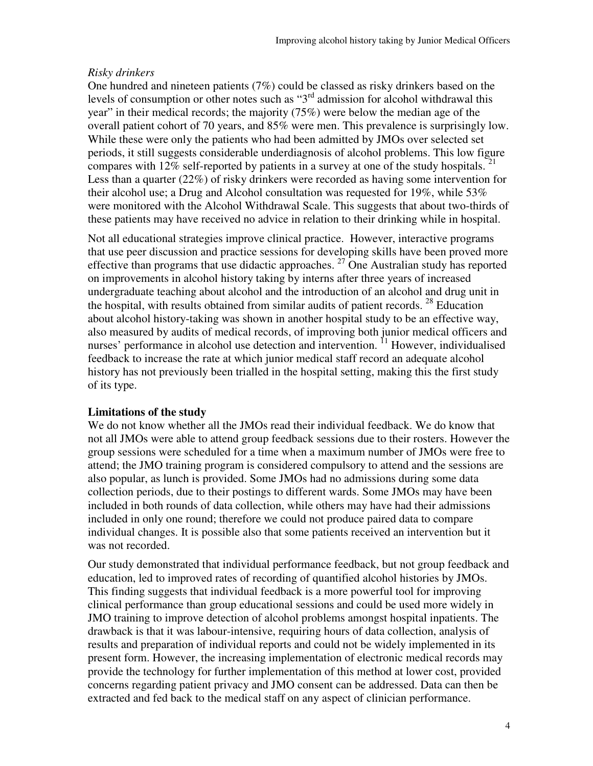### *Risky drinkers*

One hundred and nineteen patients (7%) could be classed as risky drinkers based on the levels of consumption or other notes such as "3rd admission for alcohol withdrawal this year" in their medical records; the majority (75%) were below the median age of the overall patient cohort of 70 years, and 85% were men. This prevalence is surprisingly low. While these were only the patients who had been admitted by JMOs over selected set periods, it still suggests considerable underdiagnosis of alcohol problems. This low figure compares with  $12\%$  self-reported by patients in a survey at one of the study hospitals.<sup>21</sup> Less than a quarter (22%) of risky drinkers were recorded as having some intervention for their alcohol use; a Drug and Alcohol consultation was requested for 19%, while 53% were monitored with the Alcohol Withdrawal Scale. This suggests that about two-thirds of these patients may have received no advice in relation to their drinking while in hospital.

Not all educational strategies improve clinical practice. However, interactive programs that use peer discussion and practice sessions for developing skills have been proved more effective than programs that use didactic approaches.  $27 \overline{O}$  One Australian study has reported on improvements in alcohol history taking by interns after three years of increased undergraduate teaching about alcohol and the introduction of an alcohol and drug unit in the hospital, with results obtained from similar audits of patient records.  $^{28}$  Education about alcohol history-taking was shown in another hospital study to be an effective way, also measured by audits of medical records, of improving both junior medical officers and nurses' performance in alcohol use detection and intervention. <sup>11</sup> However, individualised feedback to increase the rate at which junior medical staff record an adequate alcohol history has not previously been trialled in the hospital setting, making this the first study of its type.

## **Limitations of the study**

We do not know whether all the JMOs read their individual feedback. We do know that not all JMOs were able to attend group feedback sessions due to their rosters. However the group sessions were scheduled for a time when a maximum number of JMOs were free to attend; the JMO training program is considered compulsory to attend and the sessions are also popular, as lunch is provided. Some JMOs had no admissions during some data collection periods, due to their postings to different wards. Some JMOs may have been included in both rounds of data collection, while others may have had their admissions included in only one round; therefore we could not produce paired data to compare individual changes. It is possible also that some patients received an intervention but it was not recorded.

Our study demonstrated that individual performance feedback, but not group feedback and education, led to improved rates of recording of quantified alcohol histories by JMOs. This finding suggests that individual feedback is a more powerful tool for improving clinical performance than group educational sessions and could be used more widely in JMO training to improve detection of alcohol problems amongst hospital inpatients. The drawback is that it was labour-intensive, requiring hours of data collection, analysis of results and preparation of individual reports and could not be widely implemented in its present form. However, the increasing implementation of electronic medical records may provide the technology for further implementation of this method at lower cost, provided concerns regarding patient privacy and JMO consent can be addressed. Data can then be extracted and fed back to the medical staff on any aspect of clinician performance.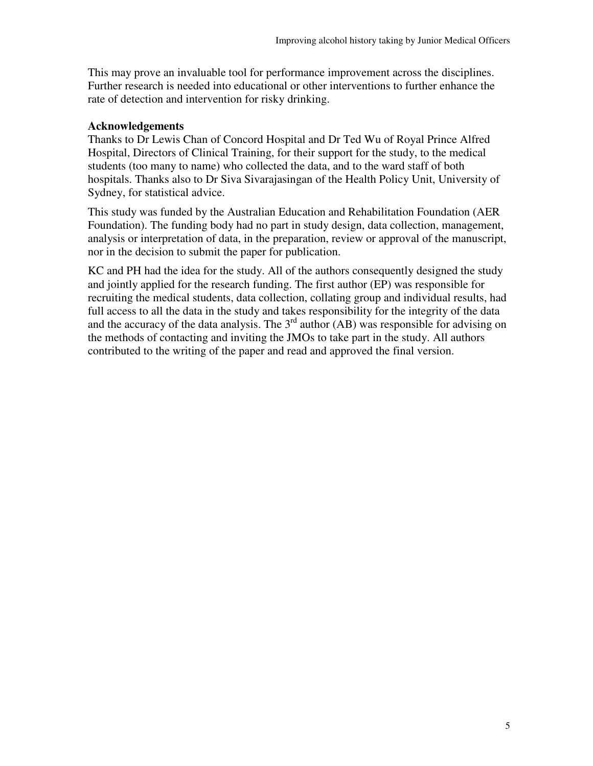This may prove an invaluable tool for performance improvement across the disciplines. Further research is needed into educational or other interventions to further enhance the rate of detection and intervention for risky drinking.

#### **Acknowledgements**

Thanks to Dr Lewis Chan of Concord Hospital and Dr Ted Wu of Royal Prince Alfred Hospital, Directors of Clinical Training, for their support for the study, to the medical students (too many to name) who collected the data, and to the ward staff of both hospitals. Thanks also to Dr Siva Sivarajasingan of the Health Policy Unit, University of Sydney, for statistical advice.

This study was funded by the Australian Education and Rehabilitation Foundation (AER Foundation). The funding body had no part in study design, data collection, management, analysis or interpretation of data, in the preparation, review or approval of the manuscript, nor in the decision to submit the paper for publication.

KC and PH had the idea for the study. All of the authors consequently designed the study and jointly applied for the research funding. The first author (EP) was responsible for recruiting the medical students, data collection, collating group and individual results, had full access to all the data in the study and takes responsibility for the integrity of the data and the accuracy of the data analysis. The  $3<sup>rd</sup>$  author (AB) was responsible for advising on the methods of contacting and inviting the JMOs to take part in the study. All authors contributed to the writing of the paper and read and approved the final version.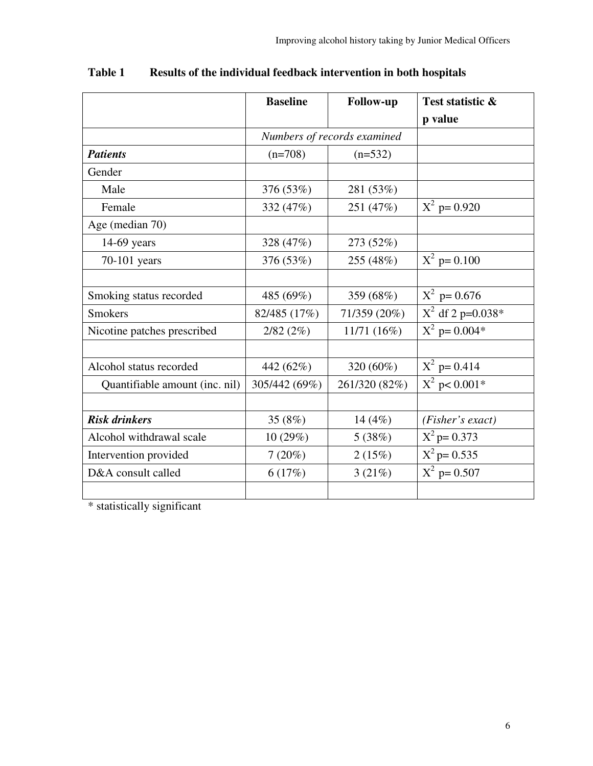|                                | <b>Baseline</b> | <b>Follow-up</b>            | Test statistic &    |
|--------------------------------|-----------------|-----------------------------|---------------------|
|                                |                 |                             | p value             |
|                                |                 | Numbers of records examined |                     |
| <b>Patients</b>                | $(n=708)$       | $(n=532)$                   |                     |
| Gender                         |                 |                             |                     |
| Male                           | 376 (53%)       | 281 (53%)                   |                     |
| Female                         | 332 (47%)       | 251 (47%)                   | $X^2$ p= 0.920      |
| Age (median 70)                |                 |                             |                     |
| 14-69 years                    | 328 (47%)       | 273 (52%)                   |                     |
| 70-101 years                   | 376 (53%)       | 255 (48%)                   | $X^2$ p= 0.100      |
|                                |                 |                             |                     |
| Smoking status recorded        | 485 (69%)       | 359 (68%)                   | $X^2$ p= 0.676      |
| <b>Smokers</b>                 | 82/485 (17%)    | 71/359 (20%)                | $X^2$ df 2 p=0.038* |
| Nicotine patches prescribed    | 2/82(2%)        | 11/71 (16%)                 | $X^2$ p= 0.004*     |
|                                |                 |                             |                     |
| Alcohol status recorded        | 442 (62%)       | 320 (60%)                   | $X^2$ p= 0.414      |
| Quantifiable amount (inc. nil) | 305/442 (69%)   | 261/320 (82%)               | $X^2$ p< 0.001*     |
|                                |                 |                             |                     |
| <b>Risk drinkers</b>           | 35 $(8%)$       | 14 $(4%)$                   | (Fisher's exact)    |
| Alcohol withdrawal scale       | 10 (29%)        | 5(38%)                      | $X^2$ p= 0.373      |
| Intervention provided          | 7(20%)          | 2(15%)                      | $X^2$ p= 0.535      |
| D&A consult called             | 6(17%)          | 3(21%)                      | $X^2$ p= 0.507      |
|                                |                 |                             |                     |

| <b>Table 1</b> | Results of the individual feedback intervention in both hospitals |
|----------------|-------------------------------------------------------------------|
|----------------|-------------------------------------------------------------------|

\* statistically significant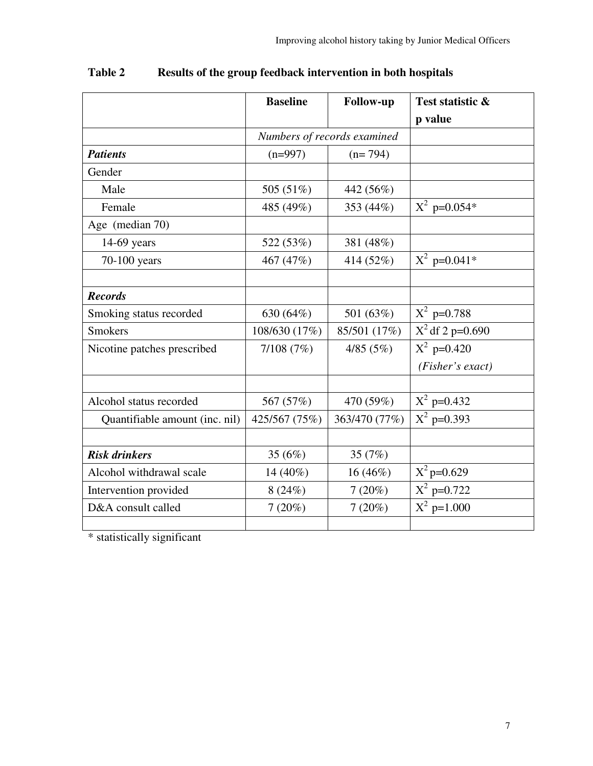|                                | <b>Baseline</b> | <b>Follow-up</b>            | Test statistic &   |
|--------------------------------|-----------------|-----------------------------|--------------------|
|                                |                 |                             | p value            |
|                                |                 | Numbers of records examined |                    |
| <b>Patients</b>                | $(n=997)$       | $(n=794)$                   |                    |
| Gender                         |                 |                             |                    |
| Male                           | 505 (51%)       | 442 (56%)                   |                    |
| Female                         | 485 (49%)       | 353 (44%)                   | $X^2$ p=0.054*     |
| Age (median 70)                |                 |                             |                    |
| $14-69$ years                  | 522 (53%)       | 381 (48%)                   |                    |
| 70-100 years                   | 467 (47%)       | 414 (52%)                   | $X^2$ p=0.041*     |
|                                |                 |                             |                    |
| <b>Records</b>                 |                 |                             |                    |
| Smoking status recorded        | 630 (64%)       | 501 (63%)                   | $X^2$ p=0.788      |
| <b>Smokers</b>                 | 108/630 (17%)   | 85/501 (17%)                | $X^2$ df 2 p=0.690 |
| Nicotine patches prescribed    | 7/108(7%)       | 4/85(5%)                    | $X^2$ p=0.420      |
|                                |                 |                             | (Fisher's exact)   |
|                                |                 |                             |                    |
| Alcohol status recorded        | 567 (57%)       | 470 (59%)                   | $X^2$ p=0.432      |
| Quantifiable amount (inc. nil) | 425/567 (75%)   | 363/470 (77%)               | $X^2$ p=0.393      |
|                                |                 |                             |                    |
| <b>Risk drinkers</b>           | 35 $(6%)$       | 35 $(7%)$                   |                    |
| Alcohol withdrawal scale       | 14 $(40\%)$     | $16(46\%)$                  | $X^2$ p=0.629      |
| Intervention provided          | 8(24%)          | 7(20%)                      | $X^2$ p=0.722      |
| D&A consult called             | 7(20%)          | 7(20%)                      | $X^2$ p=1.000      |
|                                |                 |                             |                    |

| Table 2 | Results of the group feedback intervention in both hospitals |  |
|---------|--------------------------------------------------------------|--|
|         |                                                              |  |

\* statistically significant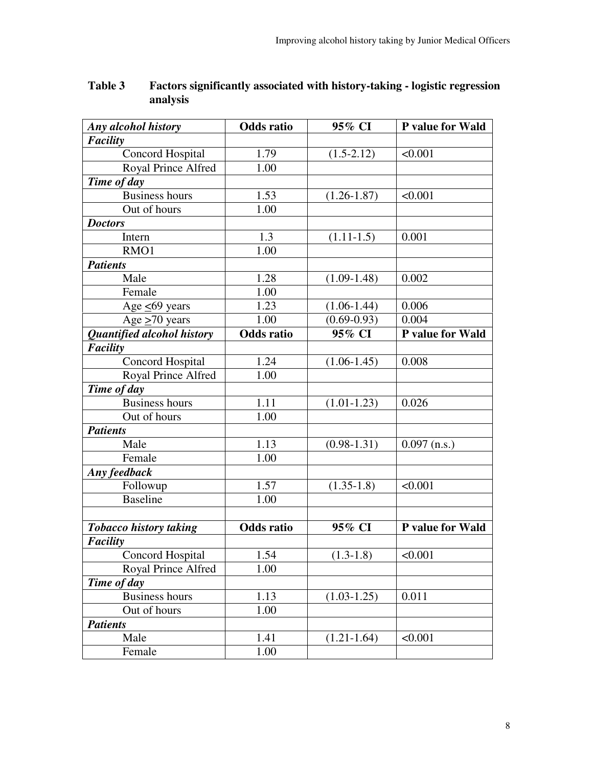| Any alcohol history           | <b>Odds</b> ratio | 95% CI          | P value for Wald |
|-------------------------------|-------------------|-----------------|------------------|
| <b>Facility</b>               |                   |                 |                  |
| Concord Hospital              | 1.79              | $(1.5-2.12)$    | < 0.001          |
| Royal Prince Alfred           | 1.00              |                 |                  |
| Time of day                   |                   |                 |                  |
| <b>Business hours</b>         | 1.53              | $(1.26 - 1.87)$ | < 0.001          |
| Out of hours                  | 1.00              |                 |                  |
| <b>Doctors</b>                |                   |                 |                  |
| Intern                        | 1.3               | $(1.11-1.5)$    | 0.001            |
| RMO1                          | 1.00              |                 |                  |
| <b>Patients</b>               |                   |                 |                  |
| Male                          | 1.28              | $(1.09-1.48)$   | 0.002            |
| Female                        | 1.00              |                 |                  |
| Age $<69$ years               | 1.23              | $(1.06-1.44)$   | 0.006            |
| Age $\geq 70$ years           | 1.00              | $(0.69 - 0.93)$ | 0.004            |
| Quantified alcohol history    | Odds ratio        | 95% CI          | P value for Wald |
| Facility                      |                   |                 |                  |
| <b>Concord Hospital</b>       | 1.24              | $(1.06 - 1.45)$ | 0.008            |
| Royal Prince Alfred           | 1.00              |                 |                  |
| Time of day                   |                   |                 |                  |
| <b>Business hours</b>         | 1.11              | $(1.01 - 1.23)$ | 0.026            |
| Out of hours                  | 1.00              |                 |                  |
| <b>Patients</b>               |                   |                 |                  |
| Male                          | 1.13              | $(0.98 - 1.31)$ | $0.097$ (n.s.)   |
| Female                        | 1.00              |                 |                  |
| Any feedback                  |                   |                 |                  |
| Followup                      | 1.57              | $(1.35-1.8)$    | < 0.001          |
| <b>Baseline</b>               | 1.00              |                 |                  |
|                               |                   |                 |                  |
| <b>Tobacco history taking</b> | <b>Odds</b> ratio | 95% CI          | P value for Wald |
| <b>Facility</b>               |                   |                 |                  |
| Concord Hospital              | 1.54              | $(1.3-1.8)$     | < 0.001          |
| Royal Prince Alfred           | 1.00              |                 |                  |
| Time of day                   |                   |                 |                  |
| <b>Business hours</b>         | 1.13              | $(1.03 - 1.25)$ | 0.011            |
| Out of hours                  | 1.00              |                 |                  |
| <b>Patients</b>               |                   |                 |                  |
| Male                          | 1.41              | $(1.21 - 1.64)$ | < 0.001          |
| Female                        | 1.00              |                 |                  |

## **Table 3 Factors significantly associated with history-taking - logistic regression analysis**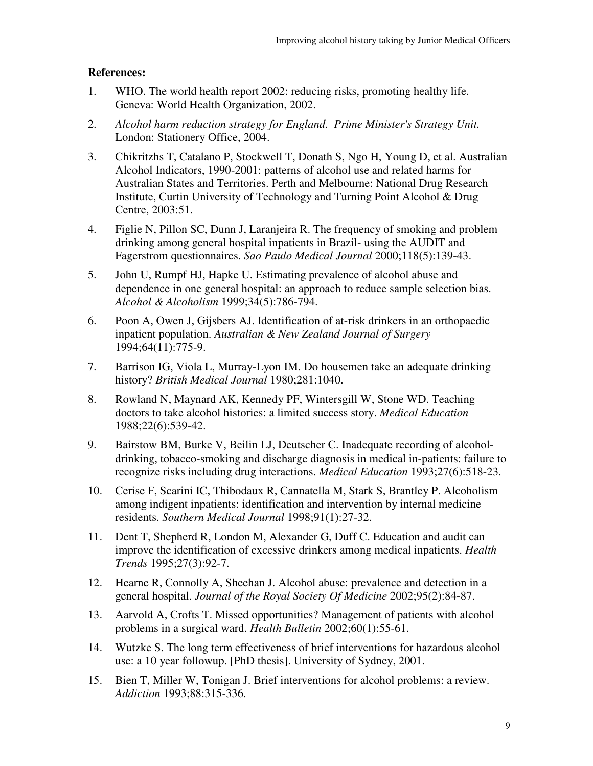### **References:**

- 1. WHO. The world health report 2002: reducing risks, promoting healthy life. Geneva: World Health Organization, 2002.
- 2. *Alcohol harm reduction strategy for England. Prime Minister's Strategy Unit.* London: Stationery Office, 2004.
- 3. Chikritzhs T, Catalano P, Stockwell T, Donath S, Ngo H, Young D, et al. Australian Alcohol Indicators, 1990-2001: patterns of alcohol use and related harms for Australian States and Territories. Perth and Melbourne: National Drug Research Institute, Curtin University of Technology and Turning Point Alcohol & Drug Centre, 2003:51.
- 4. Figlie N, Pillon SC, Dunn J, Laranjeira R. The frequency of smoking and problem drinking among general hospital inpatients in Brazil- using the AUDIT and Fagerstrom questionnaires. *Sao Paulo Medical Journal* 2000;118(5):139-43.
- 5. John U, Rumpf HJ, Hapke U. Estimating prevalence of alcohol abuse and dependence in one general hospital: an approach to reduce sample selection bias. *Alcohol & Alcoholism* 1999;34(5):786-794.
- 6. Poon A, Owen J, Gijsbers AJ. Identification of at-risk drinkers in an orthopaedic inpatient population. *Australian & New Zealand Journal of Surgery* 1994;64(11):775-9.
- 7. Barrison IG, Viola L, Murray-Lyon IM. Do housemen take an adequate drinking history? *British Medical Journal* 1980;281:1040.
- 8. Rowland N, Maynard AK, Kennedy PF, Wintersgill W, Stone WD. Teaching doctors to take alcohol histories: a limited success story. *Medical Education* 1988;22(6):539-42.
- 9. Bairstow BM, Burke V, Beilin LJ, Deutscher C. Inadequate recording of alcoholdrinking, tobacco-smoking and discharge diagnosis in medical in-patients: failure to recognize risks including drug interactions. *Medical Education* 1993;27(6):518-23.
- 10. Cerise F, Scarini IC, Thibodaux R, Cannatella M, Stark S, Brantley P. Alcoholism among indigent inpatients: identification and intervention by internal medicine residents. *Southern Medical Journal* 1998;91(1):27-32.
- 11. Dent T, Shepherd R, London M, Alexander G, Duff C. Education and audit can improve the identification of excessive drinkers among medical inpatients. *Health Trends* 1995;27(3):92-7.
- 12. Hearne R, Connolly A, Sheehan J. Alcohol abuse: prevalence and detection in a general hospital. *Journal of the Royal Society Of Medicine* 2002;95(2):84-87.
- 13. Aarvold A, Crofts T. Missed opportunities? Management of patients with alcohol problems in a surgical ward. *Health Bulletin* 2002;60(1):55-61.
- 14. Wutzke S. The long term effectiveness of brief interventions for hazardous alcohol use: a 10 year followup. [PhD thesis]. University of Sydney, 2001.
- 15. Bien T, Miller W, Tonigan J. Brief interventions for alcohol problems: a review. *Addiction* 1993;88:315-336.